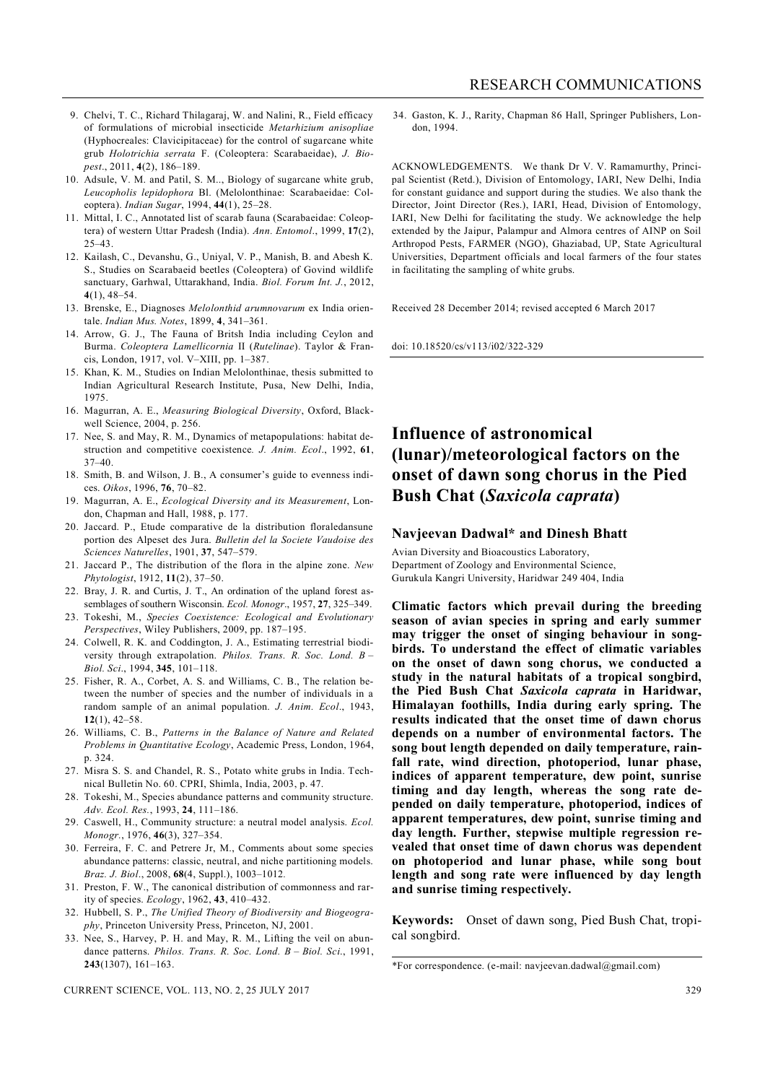- 9. Chelvi, T. C., Richard Thilagaraj, W. and Nalini, R., Field efficacy of formulations of microbial insecticide *Metarhizium anisopliae*  (Hyphocreales: Clavicipitaceae) for the control of sugarcane white grub *Holotrichia serrata* F. (Coleoptera: Scarabaeidae), *J. Biopest*., 2011, **4**(2), 186–189.
- 10. Adsule, V. M. and Patil, S. M.., Biology of sugarcane white grub, *Leucopholis lepidophora* Bl. (Melolonthinae: Scarabaeidae: Coleoptera). *Indian Sugar*, 1994, **44**(1), 25–28.
- 11. Mittal, I. C., Annotated list of scarab fauna (Scarabaeidae: Coleoptera) of western Uttar Pradesh (India). *Ann. Entomol*., 1999, **17**(2), 25–43.
- 12. Kailash, C., Devanshu, G., Uniyal, V. P., Manish, B. and Abesh K. S., Studies on Scarabaeid beetles (Coleoptera) of Govind wildlife sanctuary, Garhwal, Uttarakhand, India. *Biol. Forum Int. J.*, 2012, **4**(1), 48–54.
- 13. Brenske, E., Diagnoses *Melolonthid arumnovarum* ex India orientale. *Indian Mus. Notes*, 1899, **4**, 341–361.
- 14. Arrow, G. J., The Fauna of Britsh India including Ceylon and Burma. *Coleoptera Lamellicornia* II (*Rutelinae*). Taylor & Francis, London, 1917, vol. V–XIII, pp. 1–387.
- 15. Khan, K. M., Studies on Indian Melolonthinae, thesis submitted to Indian Agricultural Research Institute, Pusa, New Delhi, India, 1975.
- 16. Magurran, A. E., *Measuring Biological Diversity*, Oxford, Blackwell Science, 2004, p. 256.
- 17. Nee, S. and May, R. M., Dynamics of metapopulations: habitat destruction and competitive coexistence*. J. Anim. Ecol*., 1992, **61**, 37–40.
- 18. Smith, B. and Wilson, J. B., A consumer's guide to evenness indices. *Oikos*, 1996, **76**, 70–82.
- 19. Magurran, A. E., *Ecological Diversity and its Measurement*, London, Chapman and Hall, 1988, p. 177.
- 20. Jaccard. P., Etude comparative de la distribution floraledansune portion des Alpeset des Jura. *Bulletin del la Societe Vaudoise des Sciences Naturelles*, 1901, **37**, 547–579.
- 21. Jaccard P., The distribution of the flora in the alpine zone. *New Phytologist*, 1912, **11**(2), 37–50.
- 22. Bray, J. R. and Curtis, J. T., An ordination of the upland forest assemblages of southern Wisconsin. *Ecol. Monogr*., 1957, **27**, 325–349.
- 23. Tokeshi, M., *Species Coexistence: Ecological and Evolutionary Perspectives*, Wiley Publishers, 2009, pp. 187–195.
- 24. Colwell, R. K. and Coddington, J. A., Estimating terrestrial biodiversity through extrapolation. *Philos. Trans. R. Soc. Lond. B – Biol. Sci*., 1994, **345**, 101–118.
- 25. Fisher, R. A., Corbet, A. S. and Williams, C. B., The relation between the number of species and the number of individuals in a random sample of an animal population. *J. Anim. Ecol*., 1943, **12**(1), 42–58.
- 26. Williams, C. B., *Patterns in the Balance of Nature and Related Problems in Quantitative Ecology*, Academic Press, London, 1964, p. 324.
- 27. Misra S. S. and Chandel, R. S., Potato white grubs in India. Technical Bulletin No. 60. CPRI, Shimla, India, 2003, p. 47.
- 28. Tokeshi, M., Species abundance patterns and community structure. *Adv. Ecol. Res.*, 1993, **24**, 111–186.
- 29. Caswell, H., Community structure: a neutral model analysis. *Ecol. Monogr.*, 1976, **46**(3), 327–354.
- 30. Ferreira, F. C. and Petrere Jr, M., Comments about some species abundance patterns: classic, neutral, and niche partitioning models. *Braz. J. Biol*., 2008, **68**(4, Suppl.), 1003–1012*.*
- 31. Preston, F. W., The canonical distribution of commonness and rarity of species. *Ecology*, 1962, **43**, 410–432.
- 32. Hubbell, S. P., *The Unified Theory of Biodiversity and Biogeography*, Princeton University Press, Princeton, NJ, 2001.
- 33. Nee, S., Harvey, P. H. and May, R. M., Lifting the veil on abundance patterns. *Philos. Trans. R. Soc. Lond. B – Biol. Sci*., 1991, **243**(1307), 161–163.

34. Gaston, K. J., Rarity, Chapman 86 Hall, Springer Publishers, London, 1994.

ACKNOWLEDGEMENTS. We thank Dr V. V. Ramamurthy, Principal Scientist (Retd.), Division of Entomology, IARI, New Delhi, India for constant guidance and support during the studies. We also thank the Director, Joint Director (Res.), IARI, Head, Division of Entomology, IARI, New Delhi for facilitating the study. We acknowledge the help extended by the Jaipur, Palampur and Almora centres of AINP on Soil Arthropod Pests, FARMER (NGO), Ghaziabad, UP, State Agricultural Universities, Department officials and local farmers of the four states in facilitating the sampling of white grubs.

Received 28 December 2014; revised accepted 6 March 2017

doi: 10.18520/cs/v113/i02/322-329

## **Influence of astronomical (lunar)/meteorological factors on the onset of dawn song chorus in the Pied Bush Chat (***Saxicola caprata***)**

## **Navjeevan Dadwal\* and Dinesh Bhatt**

Avian Diversity and Bioacoustics Laboratory, Department of Zoology and Environmental Science, Gurukula Kangri University, Haridwar 249 404, India

**Climatic factors which prevail during the breeding season of avian species in spring and early summer may trigger the onset of singing behaviour in songbirds. To understand the effect of climatic variables on the onset of dawn song chorus, we conducted a study in the natural habitats of a tropical songbird, the Pied Bush Chat** *Saxicola caprata* **in Haridwar, Himalayan foothills, India during early spring. The results indicated that the onset time of dawn chorus depends on a number of environmental factors. The song bout length depended on daily temperature, rainfall rate, wind direction, photoperiod, lunar phase, indices of apparent temperature, dew point, sunrise timing and day length, whereas the song rate depended on daily temperature, photoperiod, indices of apparent temperatures, dew point, sunrise timing and day length. Further, stepwise multiple regression revealed that onset time of dawn chorus was dependent on photoperiod and lunar phase, while song bout length and song rate were influenced by day length and sunrise timing respectively.**

**Keywords:** Onset of dawn song, Pied Bush Chat, tropical songbird.

<sup>\*</sup>For correspondence. (e-mail: navjeevan.dadwal@gmail.com)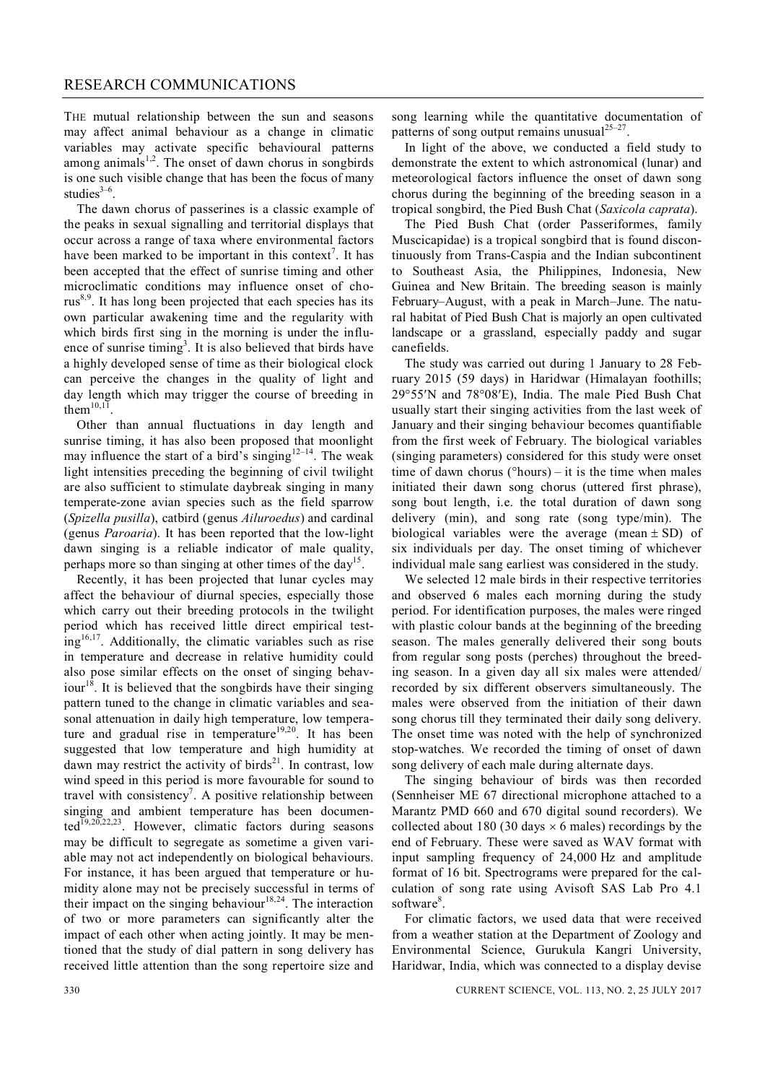THE mutual relationship between the sun and seasons may affect animal behaviour as a change in climatic variables may activate specific behavioural patterns among animals $1,2$ . The onset of dawn chorus in songbirds is one such visible change that has been the focus of many studies $3-6$ .

The dawn chorus of passerines is a classic example of the peaks in sexual signalling and territorial displays that occur across a range of taxa where environmental factors have been marked to be important in this context<sup>7</sup>. It has been accepted that the effect of sunrise timing and other microclimatic conditions may influence onset of cho $rus<sup>8,9</sup>$ . It has long been projected that each species has its own particular awakening time and the regularity with which birds first sing in the morning is under the influence of sunrise timing<sup>3</sup>. It is also believed that birds have a highly developed sense of time as their biological clock can perceive the changes in the quality of light and day length which may trigger the course of breeding in them $^{10,11}$ .

Other than annual fluctuations in day length and sunrise timing, it has also been proposed that moonlight may influence the start of a bird's singing  $12-14$ . The weak light intensities preceding the beginning of civil twilight are also sufficient to stimulate daybreak singing in many temperate-zone avian species such as the field sparrow (*Spizella pusilla*), catbird (genus *Ailuroedus*) and cardinal (genus *Paroaria*). It has been reported that the low-light dawn singing is a reliable indicator of male quality, perhaps more so than singing at other times of the day<sup>15</sup>.

Recently, it has been projected that lunar cycles may affect the behaviour of diurnal species, especially those which carry out their breeding protocols in the twilight period which has received little direct empirical test $ing<sup>16,17</sup>$ . Additionally, the climatic variables such as rise in temperature and decrease in relative humidity could also pose similar effects on the onset of singing behaviour<sup>18</sup>. It is believed that the songbirds have their singing pattern tuned to the change in climatic variables and seasonal attenuation in daily high temperature, low temperature and gradual rise in temperature<sup>19,20</sup>. It has been suggested that low temperature and high humidity at dawn may restrict the activity of birds<sup>21</sup>. In contrast, low wind speed in this period is more favourable for sound to travel with consistency<sup>7</sup>. A positive relationship between singing and ambient temperature has been documented<sup>19,20,22,23</sup>. However, climatic factors during seasons may be difficult to segregate as sometime a given variable may not act independently on biological behaviours. For instance, it has been argued that temperature or humidity alone may not be precisely successful in terms of their impact on the singing behaviour<sup>18,24</sup>. The interaction of two or more parameters can significantly alter the impact of each other when acting jointly. It may be mentioned that the study of dial pattern in song delivery has received little attention than the song repertoire size and

song learning while the quantitative documentation of patterns of song output remains unusual $25-27$ .

In light of the above, we conducted a field study to demonstrate the extent to which astronomical (lunar) and meteorological factors influence the onset of dawn song chorus during the beginning of the breeding season in a tropical songbird, the Pied Bush Chat (*Saxicola caprata*).

The Pied Bush Chat (order Passeriformes, family Muscicapidae) is a tropical songbird that is found discontinuously from Trans-Caspia and the Indian subcontinent to Southeast Asia, the Philippines, Indonesia, New Guinea and New Britain. The breeding season is mainly February–August, with a peak in March–June. The natural habitat of Pied Bush Chat is majorly an open cultivated landscape or a grassland, especially paddy and sugar canefields.

The study was carried out during 1 January to 28 February 2015 (59 days) in Haridwar (Himalayan foothills; 29°55'N and 78°08'E), India. The male Pied Bush Chat usually start their singing activities from the last week of January and their singing behaviour becomes quantifiable from the first week of February. The biological variables (singing parameters) considered for this study were onset time of dawn chorus ( $^{\circ}$ hours) – it is the time when males initiated their dawn song chorus (uttered first phrase), song bout length, i.e. the total duration of dawn song delivery (min), and song rate (song type/min). The biological variables were the average (mean  $\pm$  SD) of six individuals per day. The onset timing of whichever individual male sang earliest was considered in the study.

We selected 12 male birds in their respective territories and observed 6 males each morning during the study period. For identification purposes, the males were ringed with plastic colour bands at the beginning of the breeding season. The males generally delivered their song bouts from regular song posts (perches) throughout the breeding season. In a given day all six males were attended/ recorded by six different observers simultaneously. The males were observed from the initiation of their dawn song chorus till they terminated their daily song delivery. The onset time was noted with the help of synchronized stop-watches. We recorded the timing of onset of dawn song delivery of each male during alternate days.

The singing behaviour of birds was then recorded (Sennheiser ME 67 directional microphone attached to a Marantz PMD 660 and 670 digital sound recorders). We collected about 180 (30 days  $\times$  6 males) recordings by the end of February. These were saved as WAV format with input sampling frequency of 24,000 Hz and amplitude format of 16 bit. Spectrograms were prepared for the calculation of song rate using Avisoft SAS Lab Pro 4.1 software<sup>8</sup>.

For climatic factors, we used data that were received from a weather station at the Department of Zoology and Environmental Science, Gurukula Kangri University, Haridwar, India, which was connected to a display devise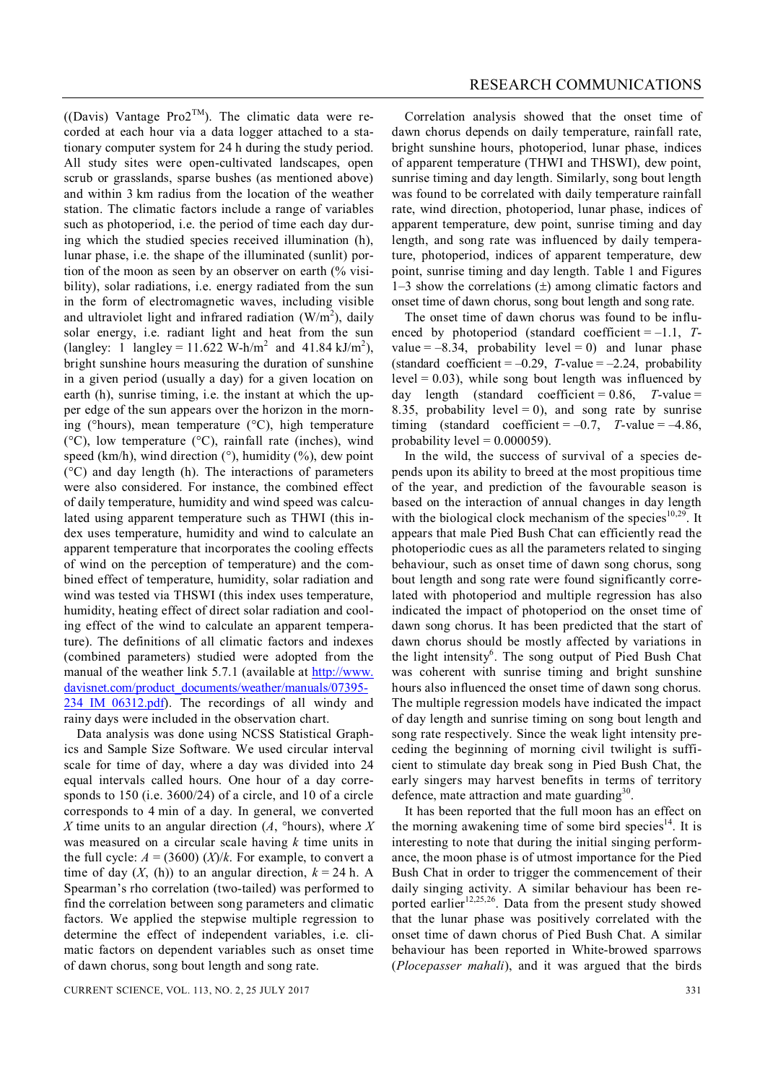((Davis) Vantage Pro2<sup>TM</sup>). The climatic data were recorded at each hour via a data logger attached to a stationary computer system for 24 h during the study period. All study sites were open-cultivated landscapes, open scrub or grasslands, sparse bushes (as mentioned above) and within 3 km radius from the location of the weather station. The climatic factors include a range of variables such as photoperiod, i.e. the period of time each day during which the studied species received illumination (h), lunar phase, i.e. the shape of the illuminated (sunlit) portion of the moon as seen by an observer on earth (% visibility), solar radiations, i.e. energy radiated from the sun in the form of electromagnetic waves, including visible and ultraviolet light and infrared radiation  $(W/m<sup>2</sup>)$ , daily solar energy, i.e. radiant light and heat from the sun (langley: 1 langley = 11.622 W-h/m<sup>2</sup> and 41.84 kJ/m<sup>2</sup>), bright sunshine hours measuring the duration of sunshine in a given period (usually a day) for a given location on earth (h), sunrise timing, i.e. the instant at which the upper edge of the sun appears over the horizon in the morning ( $\Omega$ hours), mean temperature ( $\Omega$ ), high temperature  $({}^{\circ}C)$ , low temperature  $({}^{\circ}C)$ , rainfall rate (inches), wind speed (km/h), wind direction  $(\degree)$ , humidity  $(\%)$ , dew point  $(C^{\circ}C)$  and day length (h). The interactions of parameters were also considered. For instance, the combined effect of daily temperature, humidity and wind speed was calculated using apparent temperature such as THWI (this index uses temperature, humidity and wind to calculate an apparent temperature that incorporates the cooling effects of wind on the perception of temperature) and the combined effect of temperature, humidity, solar radiation and wind was tested via THSWI (this index uses temperature, humidity, heating effect of direct solar radiation and cooling effect of the wind to calculate an apparent temperature). The definitions of all climatic factors and indexes (combined parameters) studied were adopted from the manual of the weather link 5.7.1 (available at http://www. davisnet.com/product\_documents/weather/manuals/07395- 234 IM 06312.pdf). The recordings of all windy and rainy days were included in the observation chart.

Data analysis was done using NCSS Statistical Graphics and Sample Size Software. We used circular interval scale for time of day, where a day was divided into 24 equal intervals called hours. One hour of a day corresponds to 150 (i.e. 3600/24) of a circle, and 10 of a circle corresponds to 4 min of a day. In general, we converted *X* time units to an angular direction  $(A, \text{^{\circ}hours})$ , where *X* was measured on a circular scale having *k* time units in the full cycle:  $A = (3600)$   $(X)/k$ . For example, to convert a time of day  $(X, (h))$  to an angular direction,  $k = 24$  h. A Spearman's rho correlation (two-tailed) was performed to find the correlation between song parameters and climatic factors. We applied the stepwise multiple regression to determine the effect of independent variables, i.e. climatic factors on dependent variables such as onset time of dawn chorus, song bout length and song rate.

Correlation analysis showed that the onset time of dawn chorus depends on daily temperature, rainfall rate, bright sunshine hours, photoperiod, lunar phase, indices of apparent temperature (THWI and THSWI), dew point, sunrise timing and day length. Similarly, song bout length was found to be correlated with daily temperature rainfall rate, wind direction, photoperiod, lunar phase, indices of apparent temperature, dew point, sunrise timing and day length, and song rate was influenced by daily temperature, photoperiod, indices of apparent temperature, dew point, sunrise timing and day length. Table 1 and Figures 1–3 show the correlations  $(\pm)$  among climatic factors and onset time of dawn chorus, song bout length and song rate.

The onset time of dawn chorus was found to be influenced by photoperiod (standard coefficient = –1.1, *T*value  $= -8.34$ , probability level  $= 0$ ) and lunar phase (standard coefficient  $= -0.29$ , *T*-value  $= -2.24$ , probability  $level = 0.03$ , while song bout length was influenced by day length (standard coefficient = 0.86, *T*-value = 8.35, probability level  $= 0$ ), and song rate by sunrise timing (standard coefficient  $= -0.7$ , *T*-value  $= -4.86$ , probability level =  $0.000059$ ).

In the wild, the success of survival of a species depends upon its ability to breed at the most propitious time of the year, and prediction of the favourable season is based on the interaction of annual changes in day length with the biological clock mechanism of the species $10,29$ . It appears that male Pied Bush Chat can efficiently read the photoperiodic cues as all the parameters related to singing behaviour, such as onset time of dawn song chorus, song bout length and song rate were found significantly correlated with photoperiod and multiple regression has also indicated the impact of photoperiod on the onset time of dawn song chorus. It has been predicted that the start of dawn chorus should be mostly affected by variations in the light intensity 6 . The song output of Pied Bush Chat was coherent with sunrise timing and bright sunshine hours also influenced the onset time of dawn song chorus. The multiple regression models have indicated the impact of day length and sunrise timing on song bout length and song rate respectively. Since the weak light intensity preceding the beginning of morning civil twilight is sufficient to stimulate day break song in Pied Bush Chat, the early singers may harvest benefits in terms of territory defence, mate attraction and mate guarding<sup>30</sup>.

It has been reported that the full moon has an effect on the morning awakening time of some bird species<sup>14</sup>. It is interesting to note that during the initial singing performance, the moon phase is of utmost importance for the Pied Bush Chat in order to trigger the commencement of their daily singing activity. A similar behaviour has been reported earlier $12,25,26$ . Data from the present study showed that the lunar phase was positively correlated with the onset time of dawn chorus of Pied Bush Chat. A similar behaviour has been reported in White-browed sparrows (*Plocepasser mahali*), and it was argued that the birds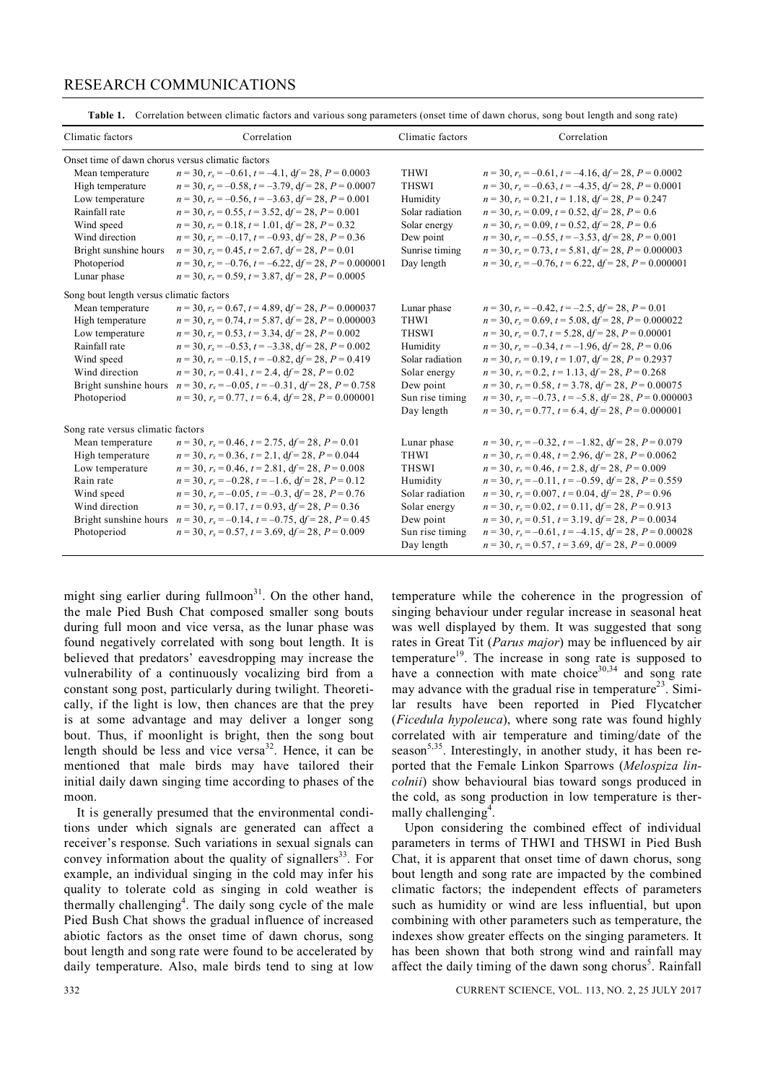## Climatic factors Correlation Correlation Correlation Climatic factors Correlation Onset time of dawn chorus versus climatic factors Mean temperature  $n = 30$ ,  $r_s = -0.61$ ,  $t = -4.1$ ,  $df = 28$ ,  $P = 0.0003$  THWI  $n = 30$ ,  $r_s = -0.61$ ,  $t = -4.16$ ,  $df = 28$ ,  $P = 0.0002$ High temperature *n* = 30, *r<sup>s</sup>* = –0.58, *t* = –3.79, d*f* = 28, *P* = 0.0007 THSWI *n* = 30, *r<sup>s</sup>* = –0.63, *t* = –4.35, d*f* = 28, *P* = 0.0001 Low temperature  $n = 30$ ,  $r_s = -0.56$ ,  $t = -3.63$ ,  $df = 28$ ,  $P = 0.001$  Humidity  $n = 30$ ,  $r_s = 0.21$ ,  $t = 1.18$ ,  $df = 28$ ,  $P = 0.247$ Rainfall rate  $n = 30$ ,  $r_s = 0.55$ ,  $t = 3.52$ ,  $df = 28$ ,  $P = 0.001$ <br>
Solar radiation  $n = 30$ ,  $r_s = 0.52$ ,  $df = 28$ ,  $P = 0.6$ <br>
Solar energy  $n = 30$ ,  $r_s = 0.09$ ,  $t = 0.52$ ,  $df = 28$ ,  $P = 0.6$ <br>
Solar energy  $n = 30$ ,  $r_s = 0.09$ , Wind speed  $n = 30$ ,  $r_s = 0.18$ ,  $t = 1.01$ ,  $df = 28$ ,  $P = 0.32$ Wind direction  $n = 30$ ,  $r_s = -0.17$ ,  $t = -0.93$ ,  $df = 28$ ,  $P = 0.36$  Dew point  $n = 30$ ,  $r_s = -0.55$ ,  $t = -3.53$ ,  $df = 28$ ,  $P = 0.001$ <br>Bright sunshine hours  $n = 30$ ,  $r_s = 0.7$ ,  $t = 5.81$ ,  $df = 28$ ,  $P = 0.00000$ . Bright sunshine hours  $n = 30$ ,  $r_s = 0.45$ ,  $t = 2.67$ ,  $df = 28$ ,  $P = 0.01$  Sunrise timing  $n = 30$ ,  $r_s = 0.73$ ,  $t = 5.81$ ,  $df = 28$ ,  $P = 0.000003$ Photoperiod  $n = 30$ ,  $r_s = -0.76$ ,  $t = -6.22$ ,  $df = 28$ ,  $P = 0.000001$  Day length  $n = 30$ ,  $r_s = -0.76$ ,  $t = 6.22$ ,  $df = 28$ ,  $P = 0.000001$ Lunar phase  $n = 30$ ,  $r_s = 0.59$ ,  $t = 3.87$ ,  $df = 28$ ,  $P = 0.0005$ Song bout length versus climatic factors Mean temperature  $n = 30$ ,  $r_s = 0.67$ ,  $t = 4.89$ ,  $df = 28$ ,  $P = 0.000037$  Lunar phase  $n = 30$ ,  $r_s = -0.42$ ,  $t = -2.5$ ,  $df = 28$ ,  $P = 0.01$ High temperature  $n = 30$ ,  $r_s = 0.74$ ,  $t = 5.87$ ,  $df = 28$ ,  $P = 0.000003$ <br>
THWI  $n = 30$ ,  $r_s = 0.53$ ,  $t = 3.34$ ,  $df = 28$ ,  $P = 0.002$ <br>
THSWI  $n = 30$ ,  $r_s = 0.7$ ,  $t = 5.28$ ,  $df = 28$ ,  $P = 0.00001$ Low temperature  $n = 30$ ,  $r_s = 0.53$ ,  $t = 3.34$ ,  $df = 28$ ,  $P = 0.002$ <br>
Rainfall rate  $n = 30$ ,  $r_s = -0.53$ ,  $t = -3.38$ ,  $df = 28$ ,  $P = 0.002$ <br>
Humidity  $n = 30$ ,  $r_s = -0.34$ ,  $t = -1.96$ ,  $df = 28$ ,  $P = 0.066$ Rainfall rate  $n = 30$ ,  $r_s = -0.53$ ,  $t = -3.38$ ,  $df = 28$ ,  $P = 0.002$ <br>
Humidity  $n = 30$ ,  $r_s = -0.34$ ,  $t = -1.96$ ,  $df = 28$ ,  $P = 0.06$ <br>
Wind speed  $n = 30$ ,  $r_s = -0.15$ ,  $t = -0.82$ ,  $df = 28$ ,  $P = 0.419$ <br>
Solar radiation  $n = 30$ ,  $r_s =$ Wind speed  $n = 30$ ,  $r_s = -0.15$ ,  $t = -0.82$ ,  $df = 28$ ,  $P = 0.419$  Solar radiation<br>Wind direction  $n = 30$ ,  $r_s = 0.41$ ,  $t = 2.4$ ,  $df = 28$ ,  $P = 0.02$  Solar energy Wind direction  $n = 30$ ,  $r_s = 0.41$ ,  $t = 2.4$ ,  $d_f = 28$ ,  $P = 0.02$  Solar energy  $n = 30$ ,  $r_s = 0.2$ ,  $t = 1.13$ ,  $d_f = 28$ ,  $P = 0.268$ Bright sunshine hours  $n = 30$ ,  $r_s = -0.05$ ,  $t = -0.31$ ,  $df = 28$ ,  $P = 0.758$  Dew point  $n = 30$ ,  $r_s = 0.58$ ,  $t = 3.78$ ,  $df = 28$ ,  $P = 0.00075$ Photoperiod *n* = 30, *r<sup>s</sup>* = 0.77, *t* = 6.4, d*f* = 28, *P* = 0.000001 Sun rise timing *n* = 30, *r<sup>s</sup>* = –0.73, *t* = –5.8, d*f* = 28, *P* = 0.000003 Day length  $n = 30$ ,  $r_s = 0.77$ ,  $t = 6.4$ ,  $df = 28$ ,  $P = 0.000001$ Song rate versus climatic factors Mean temperature  $n = 30$ ,  $r_s = 0.46$ ,  $t = 2.75$ ,  $df = 28$ ,  $P = 0.01$ <br>Lunar phase  $n = 30$ ,  $r_s = -0.32$ ,  $t = -1.82$ ,  $df = 28$ ,  $P = 0.079$ <br>High temperature  $n = 30$ ,  $r_s = 0.36$ ,  $t = 2.1$ ,  $df = 28$ ,  $P = 0.044$ <br>THWI  $n = 30$ ,  $r_s = 0.$  $n = 30$ ,  $r_s = 0.48$ ,  $t = 2.96$ ,  $df = 28$ ,  $P = 0.0062$ Low temperature  $n = 30$ ,  $r_s = 0.46$ ,  $t = 2.81$ ,  $df = 28$ ,  $P = 0.008$  THSWI  $n = 30$ ,  $r_s = 0.46$ ,  $t = 2.8$ ,  $df = 28$ ,  $P = 0.009$ Rain rate  $n = 30$ ,  $r_s = -0.28$ ,  $t = -1.6$ ,  $df = 28$ ,  $P = 0.12$  Humidity  $n = 30$ ,  $r_s = -0.11$ ,  $t = -0.59$ ,  $df = 28$ ,  $P = 0.559$ Wind speed  $n = 30$ ,  $r_s = -0.05$ ,  $t = -0.3$ ,  $df = 28$ ,  $P = 0.76$ <br>Solar radiation  $n = 30$ ,  $r_s = 0.04$ ,  $df = 28$ ,  $P = 0.96$ <br>Solar energy  $n = 30$ ,  $r_s = 0.02$ ,  $t = 0.11$ ,  $df = 28$ ,  $P = 0.913$ Wind direction  $n = 30$ ,  $r_s = 0.17$ ,  $t = 0.93$ ,  $df = 28$ ,  $P = 0.36$  Solar energy  $n = 30$ ,  $r_s = 0.02$ ,  $t = 0.11$ ,  $df = 28$ ,  $P = 0.913$ Bright sunshine hours  $n = 30$ ,  $r_s = -0.14$ ,  $t = -0.75$ ,  $df = 28$ ,  $P = 0.45$ <br>Dew point  $n = 30$ ,  $r_s = 0.51$ ,  $t = 3.19$ ,  $df = 28$ ,  $P = 0.0034$ <br>Photoperiod  $n = 30$ ,  $r_s = 0.57$ ,  $t = 3.69$ ,  $df = 28$ ,  $P = 0.009$ <br>Sun rise timing  $n = 3$ Photoperiod  $n = 30$ ,  $r_s = 0.57$ ,  $t = 3.69$ ,  $df = 28$ ,  $P = 0.009$  Sun rise timing

## RESEARCH COMMUNICATIONS

**Table 1.** Correlation between climatic factors and various song parameters (onset time of dawn chorus, song bout length and song rate)

might sing earlier during fullmoon<sup>31</sup>. On the other hand, the male Pied Bush Chat composed smaller song bouts during full moon and vice versa, as the lunar phase was found negatively correlated with song bout length. It is believed that predators' eavesdropping may increase the vulnerability of a continuously vocalizing bird from a constant song post, particularly during twilight. Theoretically, if the light is low, then chances are that the prey is at some advantage and may deliver a longer song bout. Thus, if moonlight is bright, then the song bout length should be less and vice versa $32$ . Hence, it can be mentioned that male birds may have tailored their initial daily dawn singing time according to phases of the moon.

It is generally presumed that the environmental conditions under which signals are generated can affect a receiver's response. Such variations in sexual signals can convey information about the quality of signallers $33$ . For example, an individual singing in the cold may infer his quality to tolerate cold as singing in cold weather is thermally challenging<sup>4</sup>. The daily song cycle of the male Pied Bush Chat shows the gradual influence of increased abiotic factors as the onset time of dawn chorus, song bout length and song rate were found to be accelerated by daily temperature. Also, male birds tend to sing at low

temperature while the coherence in the progression of singing behaviour under regular increase in seasonal heat was well displayed by them. It was suggested that song rates in Great Tit (*Parus major*) may be influenced by air temperature<sup>19</sup>. The increase in song rate is supposed to have a connection with mate choice<sup>30,34</sup> and song rate may advance with the gradual rise in temperature<sup>23</sup>. Similar results have been reported in Pied Flycatcher (*Ficedula hypoleuca*), where song rate was found highly correlated with air temperature and timing/date of the season<sup>5,35</sup>. Interestingly, in another study, it has been reported that the Female Linkon Sparrows (*Melospiza lincolnii*) show behavioural bias toward songs produced in the cold, as song production in low temperature is thermally challenging<sup>4</sup>.

Day length  $n = 30$ ,  $r_s = 0.57$ ,  $t = 3.69$ ,  $df = 28$ ,  $P = 0.0009$ 

Upon considering the combined effect of individual parameters in terms of THWI and THSWI in Pied Bush Chat, it is apparent that onset time of dawn chorus, song bout length and song rate are impacted by the combined climatic factors; the independent effects of parameters such as humidity or wind are less influential, but upon combining with other parameters such as temperature, the indexes show greater effects on the singing parameters. It has been shown that both strong wind and rainfall may affect the daily timing of the dawn song chorus<sup>5</sup>. Rainfall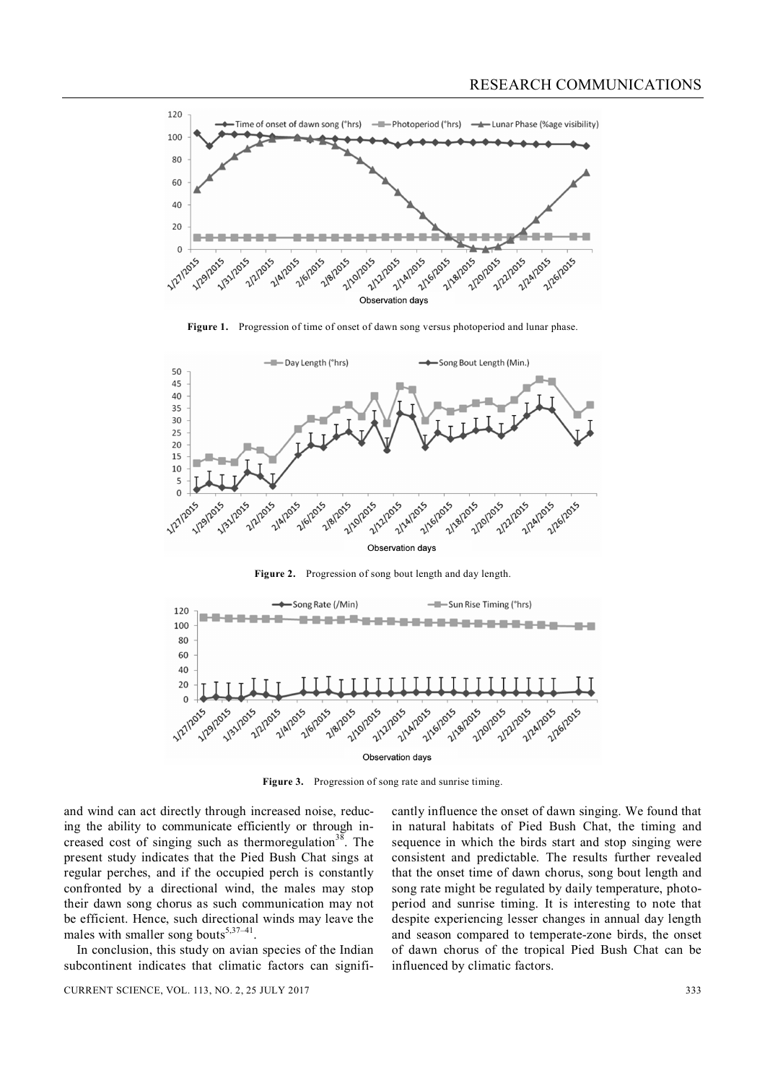

**Figure 1.** Progression of time of onset of dawn song versus photoperiod and lunar phase.



**Figure 2.** Progression of song bout length and day length.



Figure 3. Progression of song rate and sunrise timing.

and wind can act directly through increased noise, reducing the ability to communicate efficiently or through increased cost of singing such as thermoregulation<sup>38</sup>. The present study indicates that the Pied Bush Chat sings at regular perches, and if the occupied perch is constantly confronted by a directional wind, the males may stop their dawn song chorus as such communication may not be efficient. Hence, such directional winds may leave the males with smaller song bouts $5,37-41$ .

In conclusion, this study on avian species of the Indian subcontinent indicates that climatic factors can significantly influence the onset of dawn singing. We found that in natural habitats of Pied Bush Chat, the timing and sequence in which the birds start and stop singing were consistent and predictable. The results further revealed that the onset time of dawn chorus, song bout length and song rate might be regulated by daily temperature, photoperiod and sunrise timing. It is interesting to note that despite experiencing lesser changes in annual day length and season compared to temperate-zone birds, the onset of dawn chorus of the tropical Pied Bush Chat can be influenced by climatic factors.